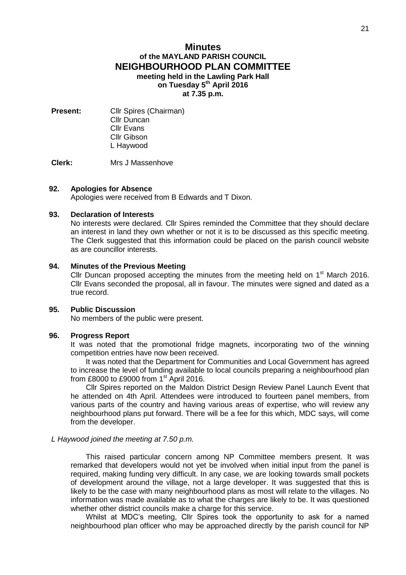# **Minutes of the MAYLAND PARISH COUNCIL NEIGHBOURHOOD PLAN COMMITTEE meeting held in the Lawling Park Hall on Tuesday 5 th April 2016 at 7.35 p.m.**

**Present:** Cllr Spires (Chairman) Cllr Duncan Cllr Evans Cllr Gibson L Haywood

**Clerk:** Mrs J Massenhove

### **92. Apologies for Absence**

Apologies were received from B Edwards and T Dixon.

#### **93. Declaration of Interests**

No interests were declared. Cllr Spires reminded the Committee that they should declare an interest in land they own whether or not it is to be discussed as this specific meeting. The Clerk suggested that this information could be placed on the parish council website as are councillor interests.

### **94. Minutes of the Previous Meeting**

Cllr Duncan proposed accepting the minutes from the meeting held on  $1<sup>st</sup>$  March 2016. Cllr Evans seconded the proposal, all in favour. The minutes were signed and dated as a true record.

# **95. Public Discussion**

No members of the public were present.

# **96. Progress Report**

It was noted that the promotional fridge magnets, incorporating two of the winning competition entries have now been received.

It was noted that the Department for Communities and Local Government has agreed to increase the level of funding available to local councils preparing a neighbourhood plan from £8000 to £9000 from  $1<sup>st</sup>$  April 2016.

Cllr Spires reported on the Maldon District Design Review Panel Launch Event that he attended on 4th April. Attendees were introduced to fourteen panel members, from various parts of the country and having various areas of expertise, who will review any neighbourhood plans put forward. There will be a fee for this which, MDC says, will come from the developer.

#### *L Haywood joined the meeting at 7.50 p.m.*

This raised particular concern among NP Committee members present. It was remarked that developers would not yet be involved when initial input from the panel is required, making funding very difficult. In any case, we are looking towards small pockets of development around the village, not a large developer. It was suggested that this is likely to be the case with many neighbourhood plans as most will relate to the villages. No information was made available as to what the charges are likely to be. It was questioned whether other district councils make a charge for this service.

Whilst at MDC's meeting, Cllr Spires took the opportunity to ask for a named neighbourhood plan officer who may be approached directly by the parish council for NP